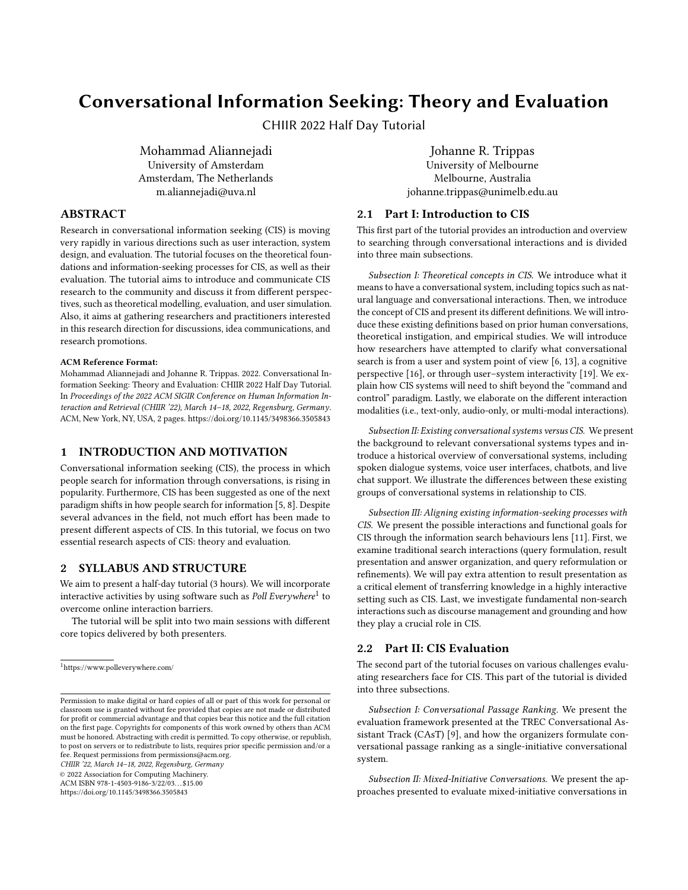# Conversational Information Seeking: Theory and Evaluation

CHIIR 2022 Half Day Tutorial

Mohammad Aliannejadi University of Amsterdam Amsterdam, The Netherlands m.aliannejadi@uva.nl

## ABSTRACT

Research in conversational information seeking (CIS) is moving very rapidly in various directions such as user interaction, system design, and evaluation. The tutorial focuses on the theoretical foundations and information-seeking processes for CIS, as well as their evaluation. The tutorial aims to introduce and communicate CIS research to the community and discuss it from different perspectives, such as theoretical modelling, evaluation, and user simulation. Also, it aims at gathering researchers and practitioners interested in this research direction for discussions, idea communications, and research promotions.

#### ACM Reference Format:

Mohammad Aliannejadi and Johanne R. Trippas. 2022. Conversational Information Seeking: Theory and Evaluation: CHIIR 2022 Half Day Tutorial. In Proceedings of the 2022 ACM SIGIR Conference on Human Information Interaction and Retrieval (CHIIR '22), March 14–18, 2022, Regensburg, Germany. ACM, New York, NY, USA, [2](#page-1-0) pages.<https://doi.org/10.1145/3498366.3505843>

# 1 INTRODUCTION AND MOTIVATION

Conversational information seeking (CIS), the process in which people search for information through conversations, is rising in popularity. Furthermore, CIS has been suggested as one of the next paradigm shifts in how people search for information [\[5,](#page-1-1) [8\]](#page-1-2). Despite several advances in the field, not much effort has been made to present different aspects of CIS. In this tutorial, we focus on two essential research aspects of CIS: theory and evaluation.

# 2 SYLLABUS AND STRUCTURE

We aim to present a half-day tutorial (3 hours). We will incorporate interactive activities by using software such as Poll Everywhere $^1$  $^1$  to overcome online interaction barriers.

The tutorial will be split into two main sessions with different core topics delivered by both presenters.

CHIIR '22, March 14–18, 2022, Regensburg, Germany

© 2022 Association for Computing Machinery.

ACM ISBN 978-1-4503-9186-3/22/03. . . \$15.00

<https://doi.org/10.1145/3498366.3505843>

## [Johanne R. Trippas](https://orcid.org/0000-0002-7801-0239)

University of Melbourne Melbourne, Australia johanne.trippas@unimelb.edu.au

## 2.1 Part I: Introduction to CIS

This first part of the tutorial provides an introduction and overview to searching through conversational interactions and is divided into three main subsections.

Subsection I: Theoretical concepts in CIS. We introduce what it means to have a conversational system, including topics such as natural language and conversational interactions. Then, we introduce the concept of CIS and present its different definitions. We will introduce these existing definitions based on prior human conversations, theoretical instigation, and empirical studies. We will introduce how researchers have attempted to clarify what conversational search is from a user and system point of view [\[6,](#page-1-3) [13\]](#page-1-4), a cognitive perspective [\[16\]](#page-1-5), or through user–system interactivity [\[19\]](#page-1-6). We explain how CIS systems will need to shift beyond the "command and control" paradigm. Lastly, we elaborate on the different interaction modalities (i.e., text-only, audio-only, or multi-modal interactions).

Subsection II: Existing conversational systems versus CIS. We present the background to relevant conversational systems types and introduce a historical overview of conversational systems, including spoken dialogue systems, voice user interfaces, chatbots, and live chat support. We illustrate the differences between these existing groups of conversational systems in relationship to CIS.

Subsection III: Aligning existing information-seeking processes with CIS. We present the possible interactions and functional goals for CIS through the information search behaviours lens [\[11\]](#page-1-7). First, we examine traditional search interactions (query formulation, result presentation and answer organization, and query reformulation or refinements). We will pay extra attention to result presentation as a critical element of transferring knowledge in a highly interactive setting such as CIS. Last, we investigate fundamental non-search interactions such as discourse management and grounding and how they play a crucial role in CIS.

# 2.2 Part II: CIS Evaluation

The second part of the tutorial focuses on various challenges evaluating researchers face for CIS. This part of the tutorial is divided into three subsections.

Subsection I: Conversational Passage Ranking. We present the evaluation framework presented at the TREC Conversational Assistant Track (CAsT) [\[9\]](#page-1-8), and how the organizers formulate conversational passage ranking as a single-initiative conversational system.

Subsection II: Mixed-Initiative Conversations. We present the approaches presented to evaluate mixed-initiative conversations in

<span id="page-0-0"></span><sup>1</sup><https://www.polleverywhere.com/>

Permission to make digital or hard copies of all or part of this work for personal or classroom use is granted without fee provided that copies are not made or distributed for profit or commercial advantage and that copies bear this notice and the full citation on the first page. Copyrights for components of this work owned by others than ACM must be honored. Abstracting with credit is permitted. To copy otherwise, or republish, to post on servers or to redistribute to lists, requires prior specific permission and/or a fee. Request permissions from permissions@acm.org.